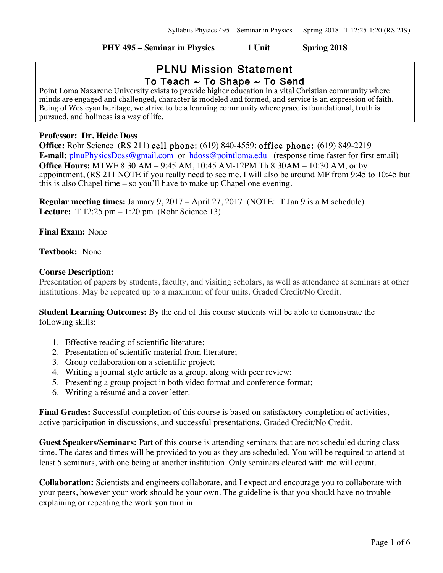#### **PHY 495 – Seminar in Physics 1 Unit Spring 2018**

# PLNU Mission Statement To Teach  $\sim$  To Shape  $\sim$  To Send

Point Loma Nazarene University exists to provide higher education in a vital Christian community where minds are engaged and challenged, character is modeled and formed, and service is an expression of faith. Being of Wesleyan heritage, we strive to be a learning community where grace is foundational, truth is pursued, and holiness is a way of life.

### **Professor: Dr. Heide Doss**

**Office:** Rohr Science (RS 211) cell phone: (619) 840-4559; office phone: (619) 849-2219 **E-mail:** plnuPhysicsDoss@gmail.com or hdoss@pointloma.edu (response time faster for first email) **Office Hours:** MTWF 8:30 AM – 9:45 AM, 10:45 AM-12PM Th 8:30AM – 10:30 AM; or by appointment, (RS 211 NOTE if you really need to see me, I will also be around MF from 9:45 to 10:45 but this is also Chapel time – so you'll have to make up Chapel one evening.

**Regular meeting times:** January 9, 2017 – April 27, 2017 (NOTE: T Jan 9 is a M schedule) **Lecture:** T 12:25 pm – 1:20 pm (Rohr Science 13)

**Final Exam:** None

# **Textbook:** None

# **Course Description:**

Presentation of papers by students, faculty, and visiting scholars, as well as attendance at seminars at other institutions. May be repeated up to a maximum of four units. Graded Credit/No Credit.

**Student Learning Outcomes:** By the end of this course students will be able to demonstrate the following skills:

- 1. Effective reading of scientific literature;
- 2. Presentation of scientific material from literature;
- 3. Group collaboration on a scientific project;
- 4. Writing a journal style article as a group, along with peer review;
- 5. Presenting a group project in both video format and conference format;
- 6. Writing a résumé and a cover letter.

**Final Grades:** Successful completion of this course is based on satisfactory completion of activities, active participation in discussions, and successful presentations. Graded Credit/No Credit.

**Guest Speakers/Seminars:** Part of this course is attending seminars that are not scheduled during class time. The dates and times will be provided to you as they are scheduled. You will be required to attend at least 5 seminars, with one being at another institution. Only seminars cleared with me will count.

**Collaboration:** Scientists and engineers collaborate, and I expect and encourage you to collaborate with your peers, however your work should be your own. The guideline is that you should have no trouble explaining or repeating the work you turn in.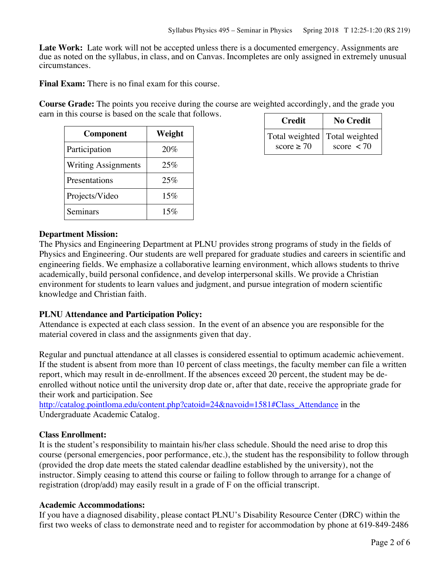Late Work: Late work will not be accepted unless there is a documented emergency. Assignments are due as noted on the syllabus, in class, and on Canvas. Incompletes are only assigned in extremely unusual circumstances.

**Final Exam:** There is no final exam for this course.

**Course Grade:** The points you receive during the course are weighted accordingly, and the grade you earn in this course is based on the scale that follows.

| Component                  | Weight |
|----------------------------|--------|
| Participation              | 20%    |
| <b>Writing Assignments</b> | 25%    |
| Presentations              | 25%    |
| Projects/Video             | 15%    |
| Seminars                   | 15%    |

| <b>Credit</b>                                      | <b>No Credit</b>           |
|----------------------------------------------------|----------------------------|
| Total weighted   Total weighted<br>score $\geq 70$ | score $\langle 70 \rangle$ |

# **Department Mission:**

The Physics and Engineering Department at PLNU provides strong programs of study in the fields of Physics and Engineering. Our students are well prepared for graduate studies and careers in scientific and engineering fields. We emphasize a collaborative learning environment, which allows students to thrive academically, build personal confidence, and develop interpersonal skills. We provide a Christian environment for students to learn values and judgment, and pursue integration of modern scientific knowledge and Christian faith.

#### **PLNU Attendance and Participation Policy:**

Attendance is expected at each class session. In the event of an absence you are responsible for the material covered in class and the assignments given that day.

Regular and punctual attendance at all classes is considered essential to optimum academic achievement. If the student is absent from more than 10 percent of class meetings, the faculty member can file a written report, which may result in de-enrollment. If the absences exceed 20 percent, the student may be deenrolled without notice until the university drop date or, after that date, receive the appropriate grade for their work and participation. See

http://catalog.pointloma.edu/content.php?catoid=24&navoid=1581#Class\_Attendance in the Undergraduate Academic Catalog.

#### **Class Enrollment:**

It is the student's responsibility to maintain his/her class schedule. Should the need arise to drop this course (personal emergencies, poor performance, etc.), the student has the responsibility to follow through (provided the drop date meets the stated calendar deadline established by the university), not the instructor. Simply ceasing to attend this course or failing to follow through to arrange for a change of registration (drop/add) may easily result in a grade of F on the official transcript.

#### **Academic Accommodations:**

If you have a diagnosed disability, please contact PLNU's Disability Resource Center (DRC) within the first two weeks of class to demonstrate need and to register for accommodation by phone at 619-849-2486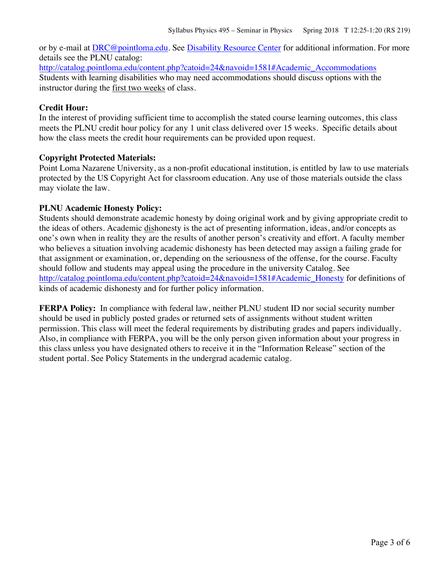or by e-mail at DRC@pointloma.edu. See Disability Resource Center for additional information. For more details see the PLNU catalog:

http://catalog.pointloma.edu/content.php?catoid=24&navoid=1581#Academic\_Accommodations Students with learning disabilities who may need accommodations should discuss options with the instructor during the first two weeks of class.

# **Credit Hour:**

In the interest of providing sufficient time to accomplish the stated course learning outcomes, this class meets the PLNU credit hour policy for any 1 unit class delivered over 15 weeks. Specific details about how the class meets the credit hour requirements can be provided upon request.

# **Copyright Protected Materials:**

Point Loma Nazarene University, as a non-profit educational institution, is entitled by law to use materials protected by the US Copyright Act for classroom education. Any use of those materials outside the class may violate the law.

# **PLNU Academic Honesty Policy:**

Students should demonstrate academic honesty by doing original work and by giving appropriate credit to the ideas of others. Academic dishonesty is the act of presenting information, ideas, and/or concepts as one's own when in reality they are the results of another person's creativity and effort. A faculty member who believes a situation involving academic dishonesty has been detected may assign a failing grade for that assignment or examination, or, depending on the seriousness of the offense, for the course. Faculty should follow and students may appeal using the procedure in the university Catalog. See http://catalog.pointloma.edu/content.php?catoid=24&navoid=1581#Academic\_Honesty for definitions of kinds of academic dishonesty and for further policy information.

**FERPA Policy:** In compliance with federal law, neither PLNU student ID nor social security number should be used in publicly posted grades or returned sets of assignments without student written permission. This class will meet the federal requirements by distributing grades and papers individually. Also, in compliance with FERPA, you will be the only person given information about your progress in this class unless you have designated others to receive it in the "Information Release" section of the student portal. See Policy Statements in the undergrad academic catalog.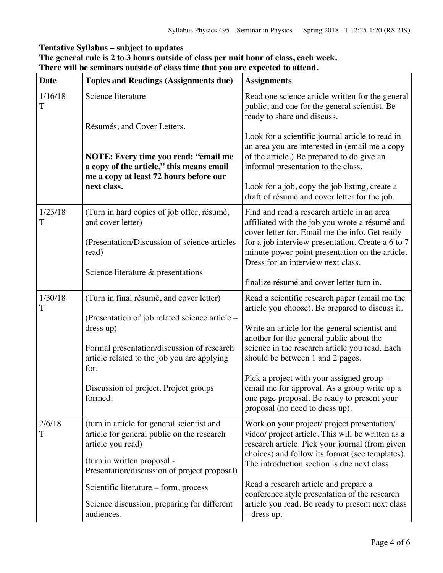# **Tentative Syllabus – subject to updates**

| The general rule is 2 to 3 hours outside of class per unit hour of class, each week. |
|--------------------------------------------------------------------------------------|
| There will be seminars outside of class time that you are expected to attend.        |

| <b>Date</b>  | <b>Topics and Readings (Assignments due)</b>                                                                    | <b>Assignments</b>                                                                                                                                                                      |
|--------------|-----------------------------------------------------------------------------------------------------------------|-----------------------------------------------------------------------------------------------------------------------------------------------------------------------------------------|
| 1/16/18<br>T | Science literature                                                                                              | Read one science article written for the general<br>public, and one for the general scientist. Be<br>ready to share and discuss.                                                        |
|              | Résumés, and Cover Letters.<br>NOTE: Every time you read: "email me<br>a copy of the article," this means email | Look for a scientific journal article to read in<br>an area you are interested in (email me a copy<br>of the article.) Be prepared to do give an<br>informal presentation to the class. |
|              | me a copy at least 72 hours before our<br>next class.                                                           | Look for a job, copy the job listing, create a<br>draft of résumé and cover letter for the job.                                                                                         |
| 1/23/18<br>T | (Turn in hard copies of job offer, résumé,<br>and cover letter)                                                 | Find and read a research article in an area<br>affiliated with the job you wrote a résumé and<br>cover letter for. Email me the info. Get ready                                         |
|              | (Presentation/Discussion of science articles<br>read)                                                           | for a job interview presentation. Create a 6 to 7<br>minute power point presentation on the article.<br>Dress for an interview next class.                                              |
|              | Science literature & presentations                                                                              | finalize résumé and cover letter turn in.                                                                                                                                               |
| 1/30/18<br>T | (Turn in final résumé, and cover letter)                                                                        | Read a scientific research paper (email me the<br>article you choose). Be prepared to discuss it.                                                                                       |
|              | (Presentation of job related science article –<br>dress up)                                                     | Write an article for the general scientist and<br>another for the general public about the                                                                                              |
|              | Formal presentation/discussion of research<br>article related to the job you are applying<br>for.               | science in the research article you read. Each<br>should be between 1 and 2 pages.                                                                                                      |
|              | Discussion of project. Project groups<br>formed.                                                                | Pick a project with your assigned group –<br>email me for approval. As a group write up a<br>one page proposal. Be ready to present your<br>proposal (no need to dress up).             |
| 2/6/18<br>T  | (turn in article for general scientist and<br>article for general public on the research<br>article you read)   | Work on your project/ project presentation/<br>video/ project article. This will be written as a<br>research article. Pick your journal (from given                                     |
|              | (turn in written proposal -<br>Presentation/discussion of project proposal)                                     | choices) and follow its format (see templates).<br>The introduction section is due next class.                                                                                          |
|              | Scientific literature – form, process                                                                           | Read a research article and prepare a<br>conference style presentation of the research                                                                                                  |
|              | Science discussion, preparing for different<br>audiences.                                                       | article you read. Be ready to present next class<br>$-$ dress up.                                                                                                                       |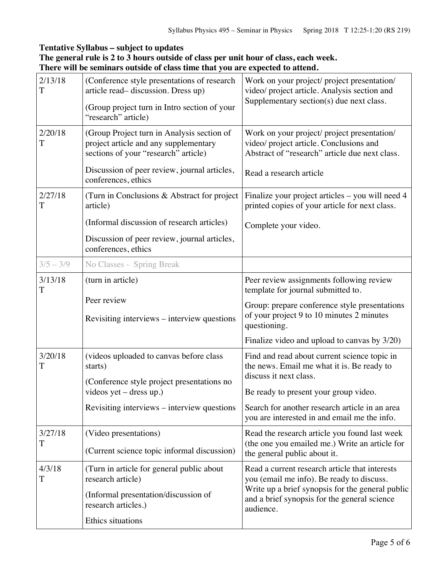# **Tentative Syllabus – subject to updates**

| The general rule is 2 to 3 hours outside of class per unit hour of class, each week. |  |
|--------------------------------------------------------------------------------------|--|
| There will be seminars outside of class time that you are expected to attend.        |  |

| 2/13/18<br>T | (Conference style presentations of research<br>article read-discussion. Dress up)<br>(Group project turn in Intro section of your<br>"research" article) | Work on your project/ project presentation/<br>video/ project article. Analysis section and<br>Supplementary section(s) due next class.  |
|--------------|----------------------------------------------------------------------------------------------------------------------------------------------------------|------------------------------------------------------------------------------------------------------------------------------------------|
| 2/20/18<br>T | (Group Project turn in Analysis section of<br>project article and any supplementary<br>sections of your "research" article)                              | Work on your project/ project presentation/<br>video/ project article. Conclusions and<br>Abstract of "research" article due next class. |
|              | Discussion of peer review, journal articles,<br>conferences, ethics                                                                                      | Read a research article                                                                                                                  |
| 2/27/18<br>T | (Turn in Conclusions & Abstract for project<br>article)                                                                                                  | Finalize your project articles – you will need 4<br>printed copies of your article for next class.                                       |
|              | (Informal discussion of research articles)                                                                                                               | Complete your video.                                                                                                                     |
|              | Discussion of peer review, journal articles,<br>conferences, ethics                                                                                      |                                                                                                                                          |
| $3/5 - 3/9$  | No Classes - Spring Break                                                                                                                                |                                                                                                                                          |
| 3/13/18<br>T | (turn in article)                                                                                                                                        | Peer review assignments following review<br>template for journal submitted to.                                                           |
|              | Peer review                                                                                                                                              | Group: prepare conference style presentations                                                                                            |
|              | Revisiting interviews – interview questions                                                                                                              | of your project 9 to 10 minutes 2 minutes<br>questioning.                                                                                |
|              |                                                                                                                                                          | Finalize video and upload to canvas by 3/20)                                                                                             |
| 3/20/18<br>T | (videos uploaded to canvas before class<br>starts)                                                                                                       | Find and read about current science topic in<br>the news. Email me what it is. Be ready to<br>discuss it next class.                     |
|              | (Conference style project presentations no<br>videos yet $-$ dress up.)                                                                                  | Be ready to present your group video.                                                                                                    |
|              | Revisiting interviews – interview questions                                                                                                              | Search for another research article in an area<br>you are interested in and email me the info.                                           |
| 3/27/18<br>T | (Video presentations)                                                                                                                                    | Read the research article you found last week                                                                                            |
|              | (Current science topic informal discussion)                                                                                                              | (the one you emailed me.) Write an article for<br>the general public about it.                                                           |
| 4/3/18<br>T  | (Turn in article for general public about<br>research article)                                                                                           | Read a current research article that interests<br>you (email me info). Be ready to discuss.                                              |
|              | (Informal presentation/discussion of<br>research articles.)                                                                                              | Write up a brief synopsis for the general public<br>and a brief synopsis for the general science<br>audience.                            |
|              | Ethics situations                                                                                                                                        |                                                                                                                                          |